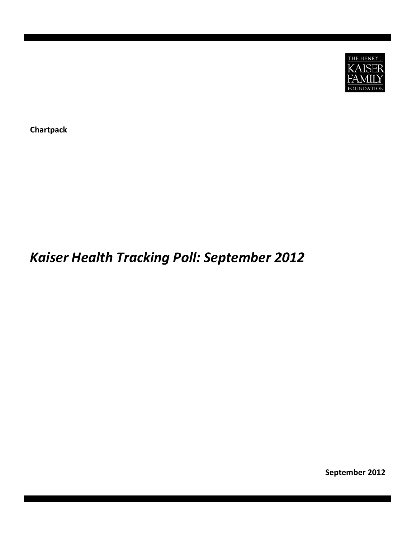

**Chartpack**

# *Kaiser Health Tracking Poll: September 2012*

**September 2012**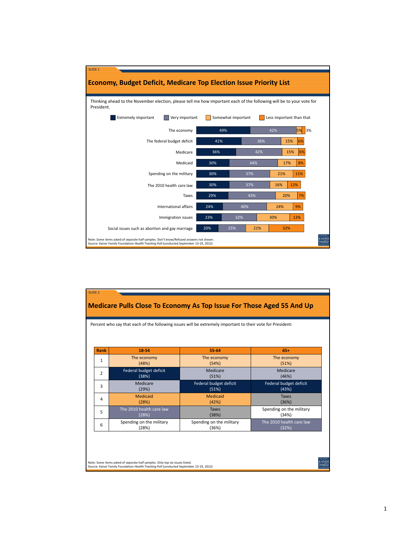

| Rank         | 18-54                    | 55-64                    | $65+$                    |
|--------------|--------------------------|--------------------------|--------------------------|
| $\mathbf{1}$ | The economy              | The economy              | The economy              |
|              | (48%)                    | (54%)                    | (51%)                    |
| 2            | Federal budget deficit   | Medicare                 | Medicare                 |
|              | (38%)                    | (51%)                    | (46%)                    |
| 3            | Medicare                 | Federal budget deficit   | Federal budget deficit   |
|              | (29%)                    | (51%)                    | (43%)                    |
| 4            | Medicaid                 | Medicaid                 | <b>Taxes</b>             |
|              | (28%)                    | (42%)                    | (36%)                    |
| 5            | The 2010 health care law | <b>Taxes</b>             | Spending on the military |
|              | (28%)                    | (38%)                    | (34%)                    |
| 6            | Spending on the military | Spending on the military | The 2010 health care law |
|              | (28%)                    | (36%)                    | (32%)                    |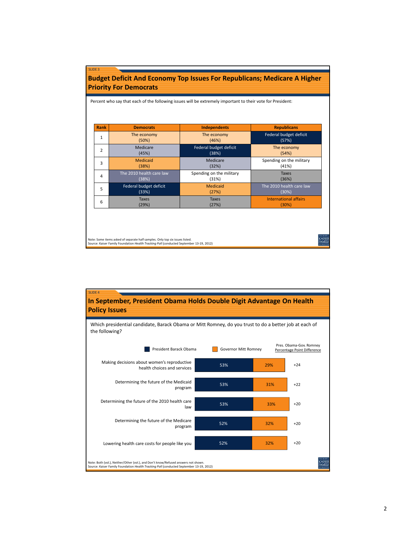| Rank           | <b>Democrats</b>         | <b>Independents</b>      | <b>Republicans</b>           |
|----------------|--------------------------|--------------------------|------------------------------|
| 1              | The economy              | The economy              | Federal budget deficit       |
|                | (50%)                    | (46%)                    | (57%)                        |
| $\overline{2}$ | Medicare                 | Federal budget deficit   | The economy                  |
|                | (45%)                    | (38%)                    | (54%)                        |
| 3              | Medicaid                 | Medicare                 | Spending on the military     |
|                | (38%)                    | (32%)                    | (41%)                        |
| 4              | The 2010 health care law | Spending on the military | <b>Taxes</b>                 |
|                | (38%)                    | (31%)                    | (36%)                        |
| 5              | Federal budget deficit   | Medicaid                 | The 2010 health care law     |
|                | (33%)                    | (27%)                    | (30%)                        |
| 6              | <b>Taxes</b>             | <b>Taxes</b>             | <b>International affairs</b> |
|                | (29%)                    | (27%)                    | (30%)                        |

Note: Some items asked of separate half samples. Only top six issues listed. Source: Kaiser Family Foundation *Health Tracking Poll* (conducted September 13‐19, 2012)

SLIDE 3

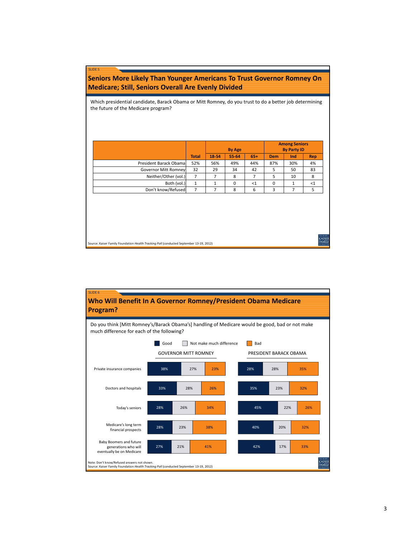### **Seniors More Likely Than Younger Americans To Trust Governor Romney On Medicare; Still, Seniors Overall Are Evenly Divided**

Which presidential candidate, Barack Obama or Mitt Romney, do you trust to do a better job determining the future of the Medicare program?

|                             |              | <b>By Age</b> |           |        |            |     |            |  | <b>Among Seniors</b><br><b>By Party ID</b> |  |
|-----------------------------|--------------|---------------|-----------|--------|------------|-----|------------|--|--------------------------------------------|--|
|                             | <b>Total</b> | 18-54         | $55 - 64$ | $65+$  | <b>Dem</b> | Ind | <b>Rep</b> |  |                                            |  |
| President Barack Obama      | 52%          | 56%           | 49%       | 44%    | 87%        | 30% | 4%         |  |                                            |  |
| <b>Governor Mitt Romney</b> | 32           | 29            | 34        | 42     |            | 50  | 83         |  |                                            |  |
| Neither/Other (vol.)        | 7            |               | 8         |        | 5          | 10  | 8          |  |                                            |  |
| Both (vol.)                 |              |               | $\Omega$  | ${<}1$ | 0          |     | <1         |  |                                            |  |
| Don't know/Refused          |              |               | 8         | 6      |            |     |            |  |                                            |  |

Source: Kaiser Family Foundation *Health Tracking Poll* (conducted September 13‐19, 2012)

SLIDE 5



KAISE<br>FAMII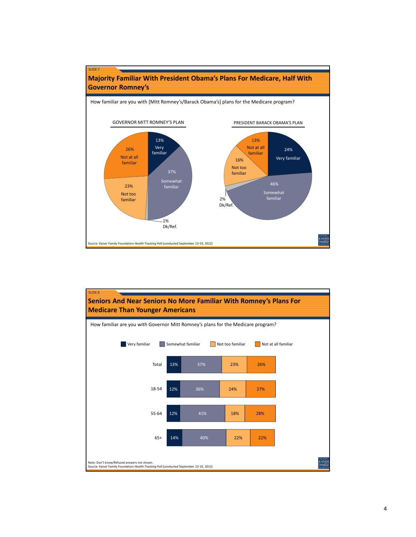

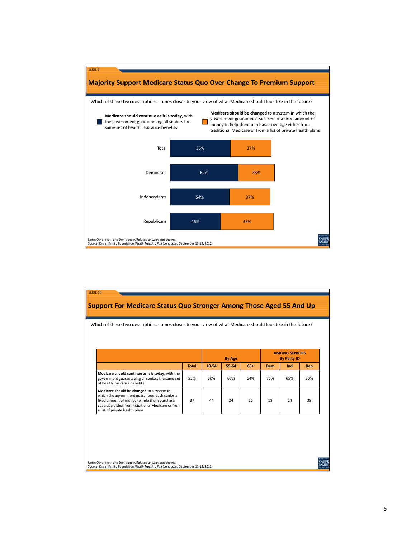

|                                                                                                                                                                                                                                  |              | <b>By Age</b> |       |       | <b>AMONG SENIORS</b><br><b>By Party ID</b> |     |     |
|----------------------------------------------------------------------------------------------------------------------------------------------------------------------------------------------------------------------------------|--------------|---------------|-------|-------|--------------------------------------------|-----|-----|
|                                                                                                                                                                                                                                  | <b>Total</b> | 18-54         | 55-64 | $65+$ | <b>Dem</b>                                 | Ind | Rep |
| Medicare should continue as it is today, with the<br>government guaranteeing all seniors the same set<br>of health insurance benefits                                                                                            | 55%          | 50%           | 67%   | 64%   | 75%                                        | 65% | 50% |
| Medicare should be changed to a system in<br>which the government guarantees each senior a<br>fixed amount of money to help them purchase<br>coverage either from traditional Medicare or from<br>a list of private health plans | 37           | 44            | 24    | 26    | 18                                         | 24  | 39  |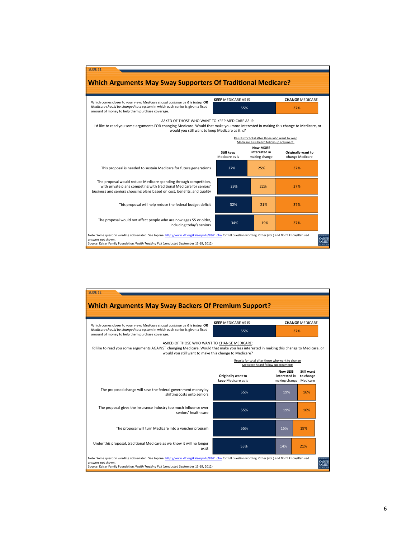

| Which comes closer to your view: Medicare should continue as it is today, OR<br>Medicare should be changed to a system in which each senior is given a fixed<br>amount of money to help them purchase coverage.                                  | <b>KEEP MEDICARE AS IS</b><br>55%                                                      | 37%                                                        | <b>CHANGE MEDICARE</b>  |
|--------------------------------------------------------------------------------------------------------------------------------------------------------------------------------------------------------------------------------------------------|----------------------------------------------------------------------------------------|------------------------------------------------------------|-------------------------|
| ASKED OF THOSE WHO WANT TO CHANGE MEDICARE:<br>I'd like to read you some arguments AGAINST changing Medicare. Would that make you less interested in making this change to Medicare, or<br>would you still want to make this change to Medicare? |                                                                                        |                                                            |                         |
|                                                                                                                                                                                                                                                  | Results for total after those who want to change<br>Medicare heard follow-up argument: |                                                            |                         |
|                                                                                                                                                                                                                                                  | Originally want to<br>keep Medicare as is                                              | <b>Now LESS</b><br>interested in<br>making change Medicare | Still want<br>to change |
| The proposed change will save the federal government money by<br>shifting costs onto seniors                                                                                                                                                     | 55%                                                                                    | 19%                                                        | 16%                     |
| The proposal gives the insurance industry too much influence over<br>seniors' health care                                                                                                                                                        | 55%                                                                                    | 19%                                                        | 16%                     |
| The proposal will turn Medicare into a voucher program                                                                                                                                                                                           | 55%                                                                                    | 15%                                                        | 19%                     |
| Under this proposal, traditional Medicare as we know it will no longer<br>exist                                                                                                                                                                  | 55%                                                                                    | 14%                                                        | 21%                     |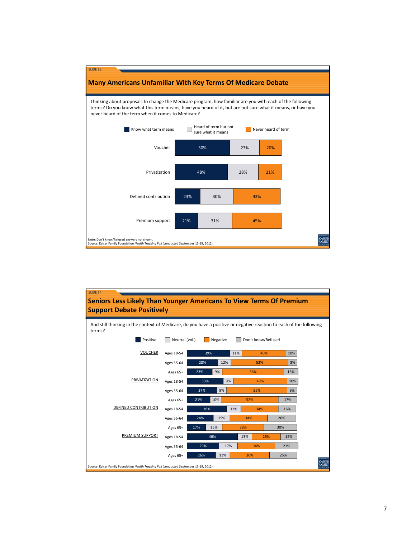

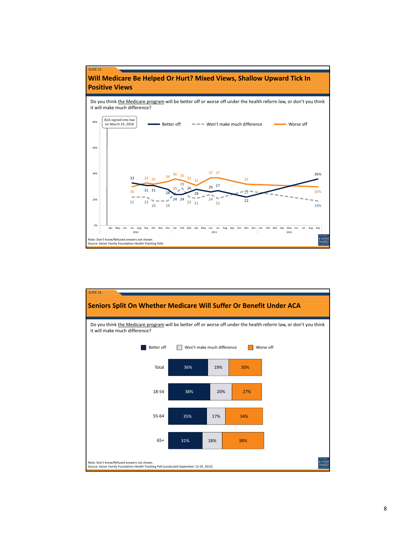

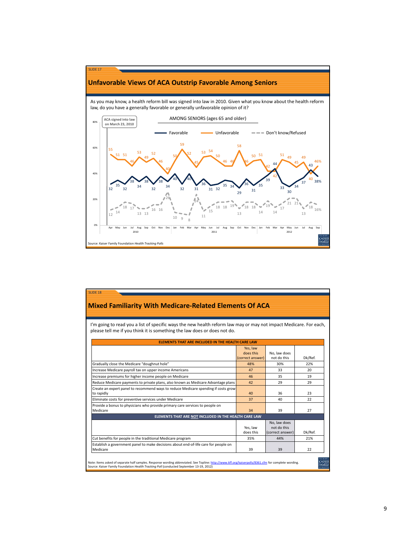

#### **Mixed Familiarity With Medicare‐Related Elements Of ACA**

SLIDE 18

I'm going to read you a list of specific ways the new health reform law may or may not impact Medicare. For each, please tell me if you think it is something the law does or does not do.

|                                                                                                  | <b>ELEMENTS THAT ARE INCLUDED IN THE HEALTH CARE LAW</b> |                                                 |         |
|--------------------------------------------------------------------------------------------------|----------------------------------------------------------|-------------------------------------------------|---------|
|                                                                                                  | Yes, law<br>does this                                    | No, law does                                    |         |
|                                                                                                  | (correct answer)                                         | not do this                                     | Dk/Ref. |
| Gradually close the Medicare "doughnut hole"                                                     | 48%                                                      | 30%                                             | 22%     |
| Increase Medicare payroll tax on upper income Americans                                          | 47                                                       | 33                                              | 20      |
| Increase premiums for higher income people on Medicare                                           | 46                                                       | 35                                              | 19      |
| Reduce Medicare payments to private plans, also known as Medicare Advantage plans                | 42                                                       | 29                                              | 29      |
| Create an expert panel to recommend ways to reduce Medicare spending if costs grow<br>to rapidly | 40                                                       | 36                                              | 23      |
| Eliminate costs for preventive services under Medicare                                           | 37                                                       | 40                                              | 22      |
| Provide a bonus to physicians who provide primary care services to people on<br>Medicare         | 34                                                       | 39                                              | 27      |
| ELEMENTS THAT ARE NOT INCLUDED IN THE HEALTH CARE LAW                                            |                                                          |                                                 |         |
|                                                                                                  | Yes, law<br>does this                                    | No. law does<br>not do this<br>(correct answer) | Dk/Ref. |
| Cut benefits for people in the traditional Medicare program                                      | 35%                                                      | 44%                                             | 21%     |
| Establish a government panel to make decisions about end-of-life care for people on<br>Medicare  | 39                                                       | 39                                              | 22      |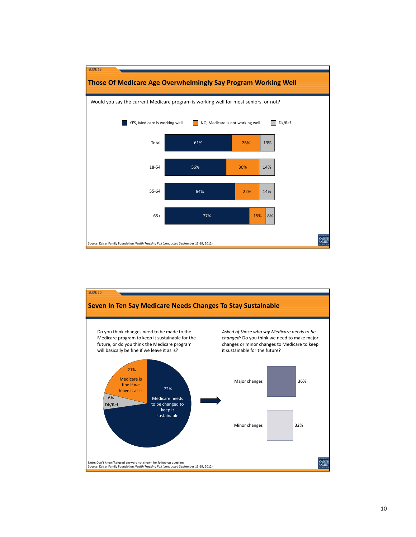

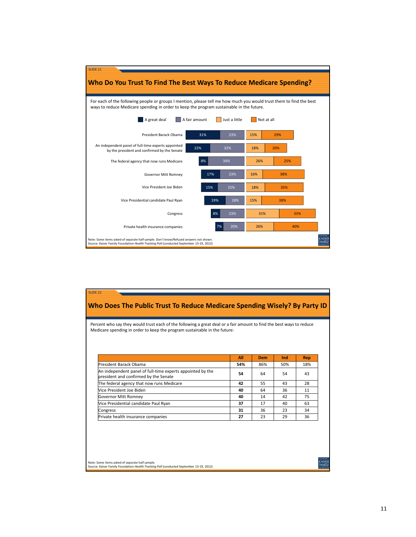

| Medicare spending in order to keep the program sustainable in the future:                           |     |     | Percent who say they would trust each of the following a great deal or a fair amount to find the best ways to reduce |     |
|-----------------------------------------------------------------------------------------------------|-----|-----|----------------------------------------------------------------------------------------------------------------------|-----|
|                                                                                                     |     |     |                                                                                                                      |     |
|                                                                                                     |     |     |                                                                                                                      |     |
|                                                                                                     | All | Dem | Ind                                                                                                                  | Rep |
| President Barack Obama                                                                              | 54% | 86% | 50%                                                                                                                  | 18% |
| An independent panel of full-time experts appointed by the<br>president and confirmed by the Senate | 54  | 64  | 54                                                                                                                   | 43  |
| The federal agency that now runs Medicare                                                           | 42  | 55  | 43                                                                                                                   | 28  |
| Vice President Joe Biden                                                                            | 40  | 64  | 36                                                                                                                   | 11  |
| Governor Mitt Romney                                                                                | 40  | 14  | 42                                                                                                                   | 75  |
| Vice Presidential candidate Paul Ryan                                                               | 37  | 17  | 40                                                                                                                   | 63  |
| Congress                                                                                            | 31  | 36  | 23                                                                                                                   | 34  |
| Private health insurance companies                                                                  | 27  | 23  | 29                                                                                                                   | 36  |

Note: Some items asked of separate half sample. Source: Kaiser Family Foundation *Health Tracking Poll* (conducted September 13‐19, 2012)

**KAISER**<br>FAMILY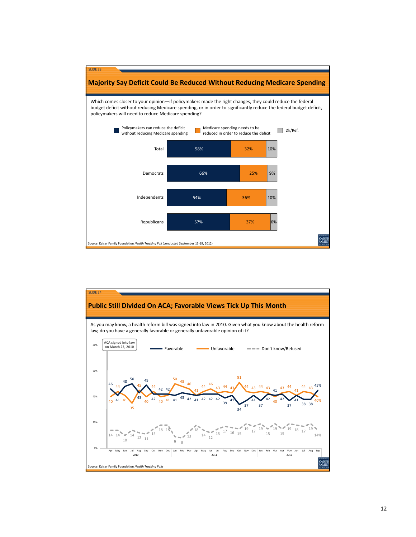

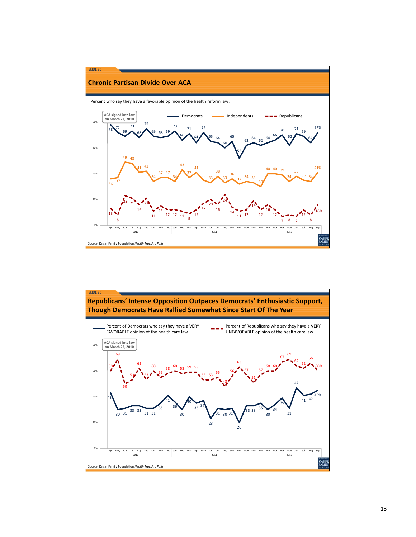

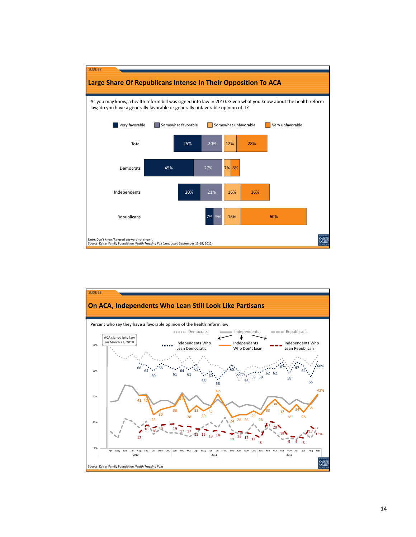

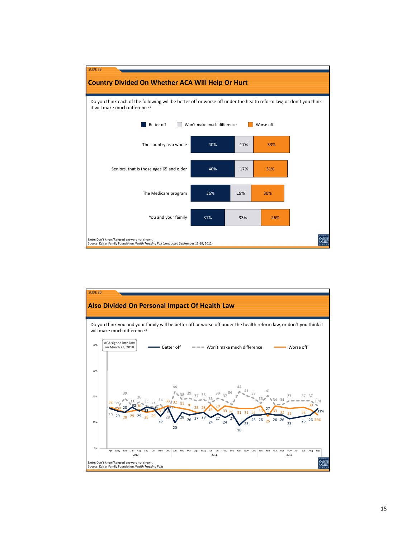

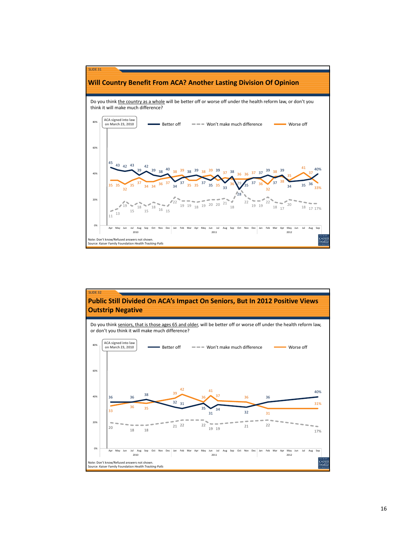

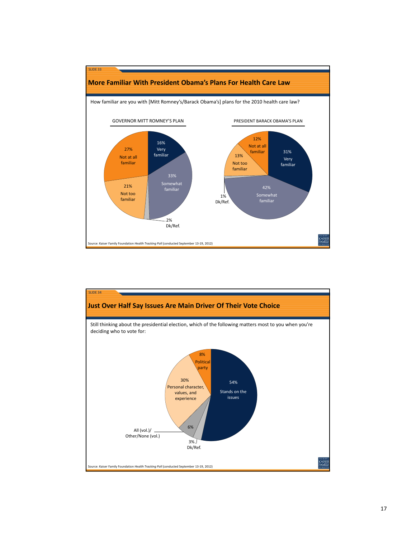

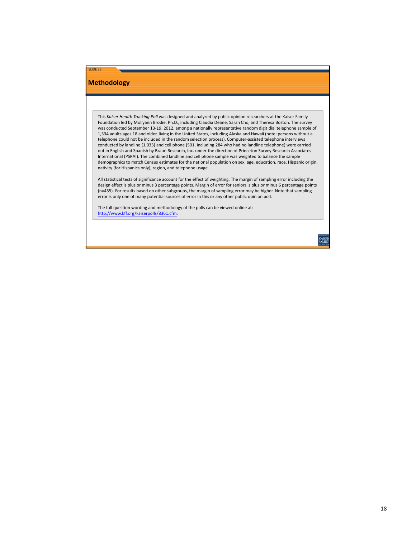## **Methodology**

SLIDE 35

This *Kaiser Health Tracking Poll* was designed and analyzed by public opinion researchers at the Kaiser Family Foundation led by Mollyann Brodie, Ph.D., including Claudia Deane, Sarah Cho, and Theresa Boston. The survey was conducted September 13-19, 2012, among a nationally representative random digit dial telephone sample of 1,534 adults ages 18 and older, living in the United States, including Alaska and Hawaii (note: persons without a telephone could not be included in the random selection process). Computer‐assisted telephone interviews conducted by landline (1,033) and cell phone (501, including 284 who had no landline telephone) were carried out in English and Spanish by Braun Research, Inc. under the direction of Princeton Survey Research Associates International (PSRAI). The combined landline and cell phone sample was weighted to balance the sample demographics to match Census estimates for the national population on sex, age, education, race, Hispanic origin, nativity (for Hispanics only), region, and telephone usage.

All statistical tests of significance account for the effect of weighting. The margin of sampling error including the design effect is plus or minus 3 percentage points. Margin of error for seniors is plus or minus 6 percentage points (n=455). For results based on other subgroups, the margin of sampling error may be higher. Note that sampling error is only one of many potential sources of error in this or any other public opinion poll.

The full question wording and methodology of the polls can be viewed online at: http://www.kff.org/kaiserpolls/8361.cfm.

**CAISE**<br>AMII

18